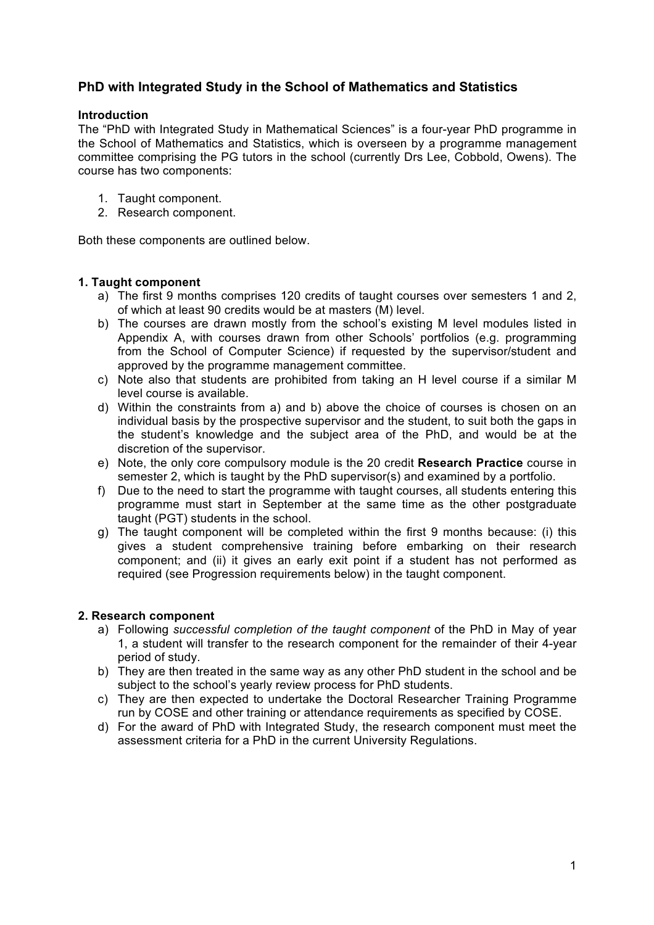# **PhD with Integrated Study in the School of Mathematics and Statistics**

## **Introduction**

The "PhD with Integrated Study in Mathematical Sciences" is a four-year PhD programme in the School of Mathematics and Statistics, which is overseen by a programme management committee comprising the PG tutors in the school (currently Drs Lee, Cobbold, Owens). The course has two components:

- 1. Taught component.
- 2. Research component.

Both these components are outlined below.

## **1. Taught component**

- a) The first 9 months comprises 120 credits of taught courses over semesters 1 and 2, of which at least 90 credits would be at masters (M) level.
- b) The courses are drawn mostly from the school's existing M level modules listed in Appendix A, with courses drawn from other Schools' portfolios (e.g. programming from the School of Computer Science) if requested by the supervisor/student and approved by the programme management committee.
- c) Note also that students are prohibited from taking an H level course if a similar M level course is available.
- d) Within the constraints from a) and b) above the choice of courses is chosen on an individual basis by the prospective supervisor and the student, to suit both the gaps in the student's knowledge and the subject area of the PhD, and would be at the discretion of the supervisor.
- e) Note, the only core compulsory module is the 20 credit **Research Practice** course in semester 2, which is taught by the PhD supervisor(s) and examined by a portfolio.
- f) Due to the need to start the programme with taught courses, all students entering this programme must start in September at the same time as the other postgraduate taught (PGT) students in the school.
- g) The taught component will be completed within the first 9 months because: (i) this gives a student comprehensive training before embarking on their research component; and (ii) it gives an early exit point if a student has not performed as required (see Progression requirements below) in the taught component.

## **2. Research component**

- a) Following *successful completion of the taught component* of the PhD in May of year 1, a student will transfer to the research component for the remainder of their 4-year period of study.
- b) They are then treated in the same way as any other PhD student in the school and be subject to the school's yearly review process for PhD students.
- c) They are then expected to undertake the Doctoral Researcher Training Programme run by COSE and other training or attendance requirements as specified by COSE.
- d) For the award of PhD with Integrated Study, the research component must meet the assessment criteria for a PhD in the current University Regulations.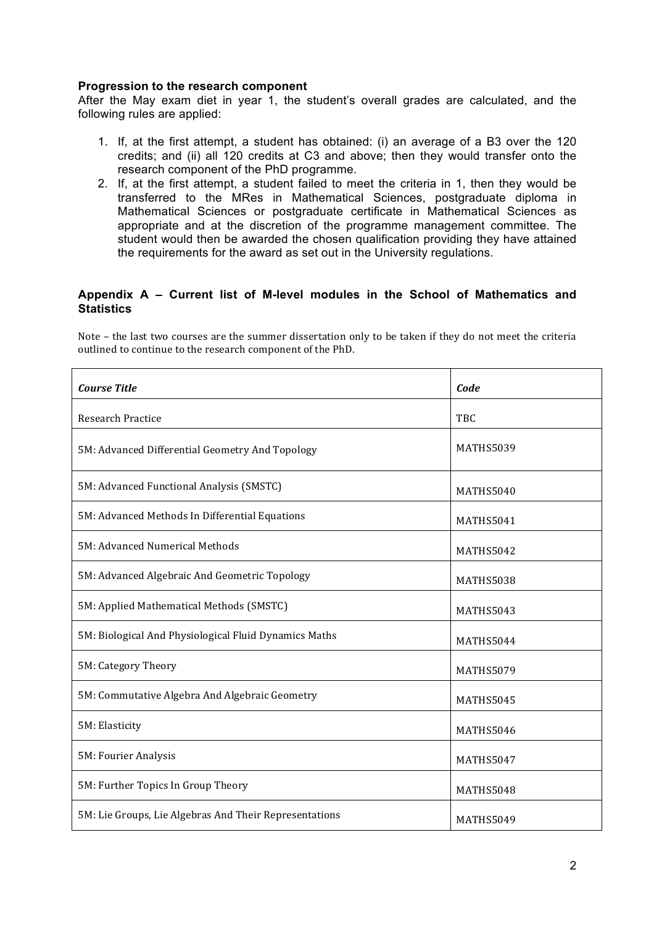#### **Progression to the research component**

After the May exam diet in year 1, the student's overall grades are calculated, and the following rules are applied:

- 1. If, at the first attempt, a student has obtained: (i) an average of a B3 over the 120 credits; and (ii) all 120 credits at C3 and above; then they would transfer onto the research component of the PhD programme.
- 2. If, at the first attempt, a student failed to meet the criteria in 1, then they would be transferred to the MRes in Mathematical Sciences, postgraduate diploma in Mathematical Sciences or postgraduate certificate in Mathematical Sciences as appropriate and at the discretion of the programme management committee. The student would then be awarded the chosen qualification providing they have attained the requirements for the award as set out in the University regulations.

## **Appendix A – Current list of M-level modules in the School of Mathematics and Statistics**

Note – the last two courses are the summer dissertation only to be taken if they do not meet the criteria outlined to continue to the research component of the PhD.

| <b>Course Title</b>                                    | Code      |
|--------------------------------------------------------|-----------|
| <b>Research Practice</b>                               | TBC       |
| 5M: Advanced Differential Geometry And Topology        | MATHS5039 |
| 5M: Advanced Functional Analysis (SMSTC)               | MATHS5040 |
| 5M: Advanced Methods In Differential Equations         | MATHS5041 |
| 5M: Advanced Numerical Methods                         | MATHS5042 |
| 5M: Advanced Algebraic And Geometric Topology          | MATHS5038 |
| 5M: Applied Mathematical Methods (SMSTC)               | MATHS5043 |
| 5M: Biological And Physiological Fluid Dynamics Maths  | MATHS5044 |
| 5M: Category Theory                                    | MATHS5079 |
| 5M: Commutative Algebra And Algebraic Geometry         | MATHS5045 |
| 5M: Elasticity                                         | MATHS5046 |
| 5M: Fourier Analysis                                   | MATHS5047 |
| 5M: Further Topics In Group Theory                     | MATHS5048 |
| 5M: Lie Groups, Lie Algebras And Their Representations | MATHS5049 |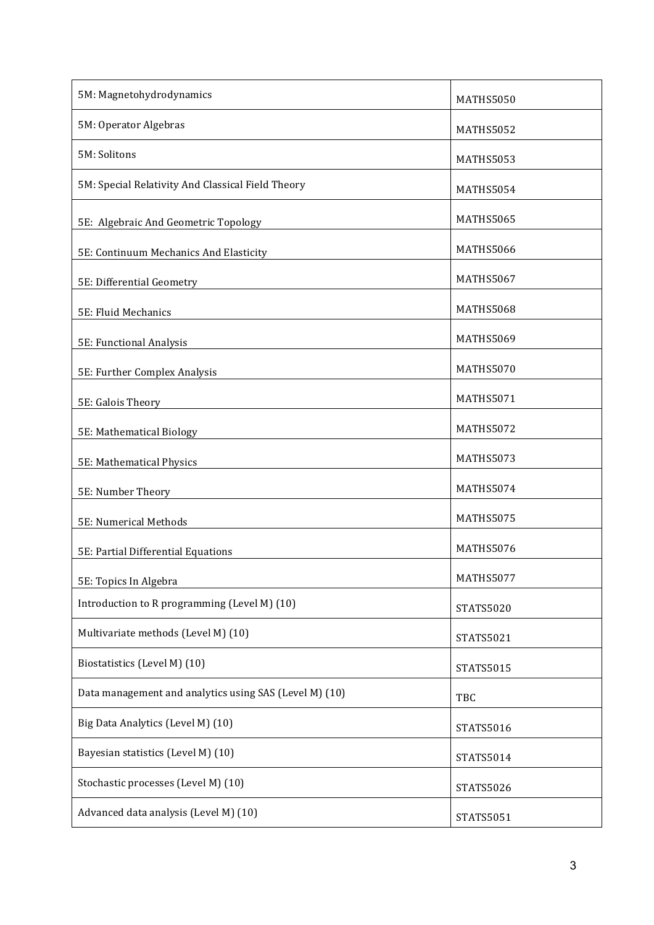| 5M: Magnetohydrodynamics                               | MATHS5050        |
|--------------------------------------------------------|------------------|
| 5M: Operator Algebras                                  | MATHS5052        |
| 5M: Solitons                                           | MATHS5053        |
| 5M: Special Relativity And Classical Field Theory      | MATHS5054        |
| 5E: Algebraic And Geometric Topology                   | MATHS5065        |
| 5E: Continuum Mechanics And Elasticity                 | MATHS5066        |
| 5E: Differential Geometry                              | MATHS5067        |
| 5E: Fluid Mechanics                                    | MATHS5068        |
| 5E: Functional Analysis                                | MATHS5069        |
| 5E: Further Complex Analysis                           | MATHS5070        |
| 5E: Galois Theory                                      | MATHS5071        |
| 5E: Mathematical Biology                               | MATHS5072        |
| 5E: Mathematical Physics                               | MATHS5073        |
| 5E: Number Theory                                      | MATHS5074        |
| 5E: Numerical Methods                                  | MATHS5075        |
| 5E: Partial Differential Equations                     | MATHS5076        |
| 5E: Topics In Algebra                                  | MATHS5077        |
| Introduction to R programming (Level M) (10)           | <b>STATS5020</b> |
| Multivariate methods (Level M) (10)                    | STATS5021        |
| Biostatistics (Level M) (10)                           | STATS5015        |
| Data management and analytics using SAS (Level M) (10) | TBC              |
| Big Data Analytics (Level M) (10)                      | STATS5016        |
| Bayesian statistics (Level M) (10)                     | STATS5014        |
| Stochastic processes (Level M) (10)                    | STATS5026        |
| Advanced data analysis (Level M) (10)                  | STATS5051        |